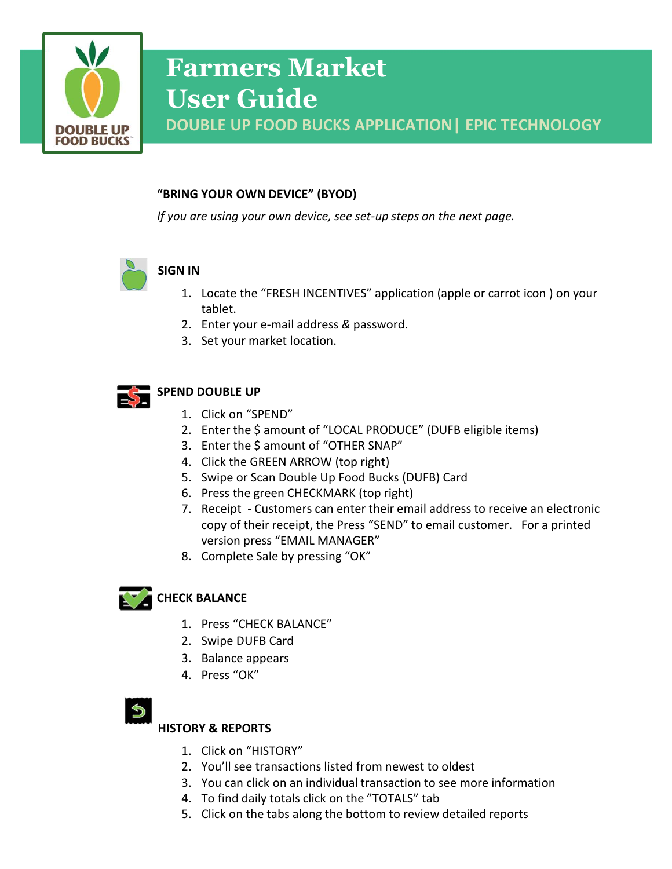

# Farmers Market<br>User Guide<br>DOUBLE UP FOOD BUCKS APPLICATION EPIC TECHNOLOGY Farmers Market<br>User Guide<br><sub>DOUBLE UP FOOD BUCKS APPLICATION| EPIC TECHNOLOGY</sub> Farmers Market<br>User Guide<br>Double up food bucks application| epic technology<br>Bring your own device" (byod) **1. Locate the "FRESH INCENTIVES"**<br>1. JOUBLE UP FOOD BUCKS APPLICATION | EPIC TECHNOLOGY<br>1. No YOUR OWN DEVICE" (BYOD)<br>1. *Docate the "FRESH INCENTIVES" application (apple or carrot icon ) on your*<br>1. Locate the "FRESH INC **EXECT GUIDE<br>
2. EXECT GUIDE<br>
2. EVALUATION**<br>
2. EVALUATION EPIC TECHNO<br>
2. Enter your own device, see set-up steps on the next page.<br>
2. Enter your e-mail address & password.<br>
2. Enter your e-mail address & password.<br>
2.

# "BRING YOUR OWN DEVICE" (BYOD)

If you are using your own device, see set-up steps on the next page.



# SIGN IN

- tablet. 3. Set your market location. **NG YOUR OWN DEVICE" (BYOD)**<br>
U are using your own device, see set-up steps on the next page.<br>
1. IN<br>
1. Locate the "FRESH INCENTIVES" application (apple or carrot icon ) c<br>
tablet.<br>
2. Enter your e-mail address & password **NG YOUR OWN DEVICE" (BYOD)**<br>
2. *Locate the "FRESH INCENTIVES" application (apple or carrot icon ) on your*<br>
tablet.<br>
2. Enter your e-mail address & password.<br>
2. Enter your e-mail address & password.<br>
3. Set your market **NG YOUR OWN DEVICE" (BYOD)**<br>
2. *u are using your own device, see set-up steps on the next page.*<br>
1. Locate the "FRESH INCENTIVES" application (apple or carrot icon ) c<br>
tablet.<br>
2. Enter your e-mail address & password.<br>
- 
- 



# SPEND DOUBLE UP

- 
- 
- 
- 
- 
- 
- NG YOUR OWN DEVICE" (BYOD)<br>
U are using your own device, see set-up steps on the next page.<br>
1. Locate the "FRESH INCENTIVES" application (apple or carrot icon ) c<br>
tablet.<br>
2. Enter your e-mail address & password.<br>
3. Set u are using your own device, see set-up steps on the next page.<br>
1. IN<br>
1. Locate the "FRESH INCENTIVES" application (apple or carrot icon ) c<br>
tablet.<br>
2. Enter your e-mail address & password.<br>
3. Set your market location Final Content of "COCAL PRODUCE" (DUFB eligible items)<br>
1. Locate the "FRESH INCENTIVES" application (apple or carrot icon ) c<br>
tablet.<br>
2. Enter your e-mail address & password.<br>
3. Set your market location.<br>
4. Click on " 1 IN<br>
1. Locate the "FRESH INCENTIVES" application (apple or carrot icon ) on your<br>
tablet.<br>
2. Enter your e-mail address & password.<br>
1. Click on "SPEND"<br>
1. Click on "SPEND"<br>
2. Enter the \$ amount of "LOCAL PRODUCE" (DUF copy of their receipt, the Press "SEND" to email customer. For a printed version press "EMAIL MANAGER" 1. Locate the "FRESH INCENTIVES" application (apple or carrot icon ) c<br>
tablet.<br>
2. Enter your e-mail address & password.<br>
3. Set your market location.<br> **ID DOUBLE UP**<br>
1. Click on "SPEND"<br>
2. Enter the \$ amount of "LOCAL **ID DOUBLE UP**<br>
1. Click on "SPEND"<br>
2. Enter the \$ amount of "LOCAL PRODUCE" (DUFB eligible items)<br>
3. Enter the \$ amount of "OTHER SNAP"<br>
4. Click the GREEN ARROW (top right)<br>
5. Swipe or Scan Double Up Food Bucks (DUFB) **ID DOUBLE UP**<br>
2. Enter the \$ amount of "LOCAL PRODUCE" (DUFB eligible items)<br>
2. Enter the \$ amount of "COCAL PRODUCE" (DUFB eligible items)<br>
4. Click the GREEN ARROW (top right)<br>
5. Swipe or Scan Double Up Food Bucks (D **10 DOUBLE UP**<br>
1. Click on "SPEND"<br>
2. Enter the \$ amount of "LOCAL PRODUCE" (DUFB eligible items)<br>
3. Enter the \$ amount of "OTHER SNAP"<br>
4. Click the GREEN ARROW (top right)<br>
5. Swipe or Scan Double Up Food Bucks (DUFB) 1. Click on "SPEND"<br>
2. Enter the \$ amount of "LOCAL PRODUCE" (DUFB eligible items)<br>
3. Enter the \$ amount of "OTHER SNAP"<br>
4. Click the GREEN ARROW (top right)<br>
5. Swipe or Scan Double Up Food Bucks (DUFB) Card<br>
6. Press 5. Swipe or Scan Double Up Food Bucks (DUFB) Card<br>
6. Press the green CHECKMARK (top right)<br>
7. Receipt - Customers can enter their email address to receive an ele<br>
copy of their receipt, the Press "SEND" to email customer 6. Press the green CHECKMARK (top right)<br>
7. Receipt - Customers can enter their email address to receive an electron<br>
copy of their receipt, the Press "SEND" to email customer. For a printed<br>
version press "EMAIL MANAGER" 7. Recept - Customers can enter then rener email address to receive an electronic<br>copy of their receipt, the Press "SEND" to email customer. For a printed<br>version press "EMAIL MANAGER"<br>8. Complete Sale by pressing "OK"<br>CK copy of their recept, the Press "SEND" to email customer. For a pression press "EMAIL MANAGER"<br>
8. Complete Sale by pressing "OK"<br>
2. Swipe DUFB Card<br>
1. Press "CHECK BALANCE"<br>
2. Swipe DUFB Card<br>
3. Balance appears<br>
4. Pr
- 



- 
- 
- 
- 



# HISTORY & REPORTS

- 
- 
- version press "EMAIL MANAGER"<br>8. Complete Sale by pressing "OK"<br>1. Press "CHECK BALANCE"<br>2. Swipe DUFB Card<br>3. Balance appears<br>4. Press "OK"<br>**ORY & REPORTS**<br>1. Click on "HISTORY"<br>2. You'll see transactions listed from newe
- 
-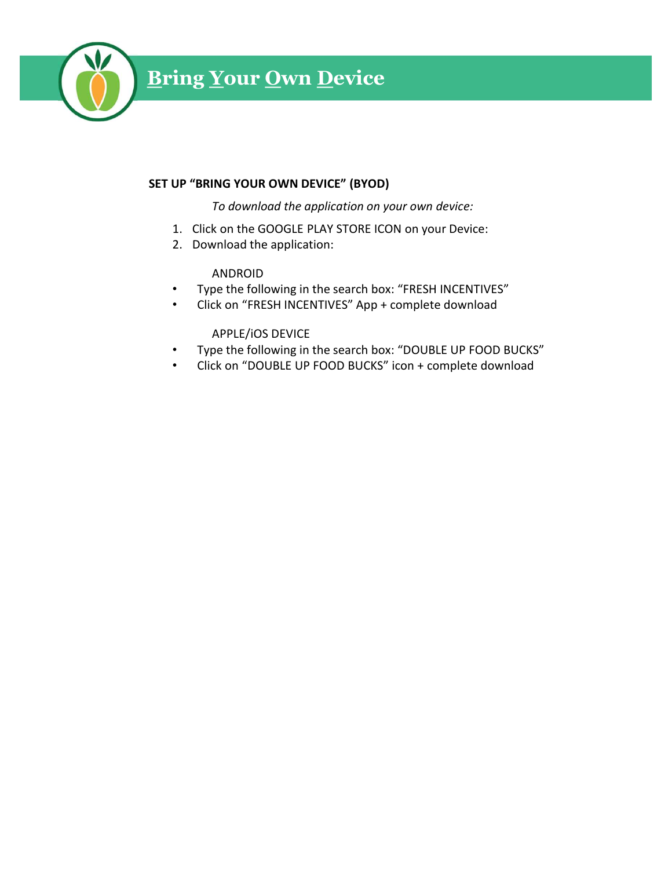

# SET UP "BRING YOUR OWN DEVICE" (BYOD)

To download the application on your own device:

- 
- 

# ANDROID

- Type the following in the search box: "FRESH INCENTIVES"
- Click on "FRESH INCENTIVES" App + complete download

# APPLE/iOS DEVICE

- Type the following in the search box: "DOUBLE UP FOOD BUCKS"<br>• Click on "DOUBLE UP FOOD BUCKS" icon + complete download
-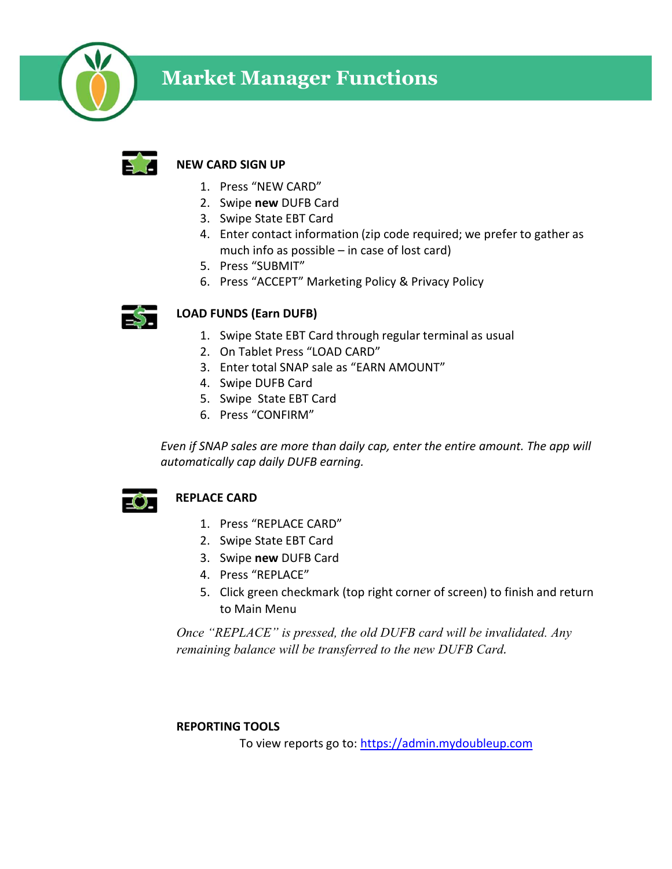

# Market Manager Functions



# NEW CARD SIGN UP

- 
- 
- 
- **Ret Manager Functions<br>
1. Press "NEW CARD"<br>
1. Press "NEW CARD"<br>
2. Swipe new DUFB Card<br>
3. Swipe State EBT Card<br>
4. Enter contact information (zip code required; we prefer to gather a<br>
much info as possible in case of Example 12. Solution School School School School School School School School School School School School School School School School School School School School School School School School School School School School Scho Example State Example State Example:**<br> **State State State Example:**<br> **3. Swipe new DUFB Card**<br> **3. Swipe State EBT Card**<br> **4. Enter contact information (zip code required; we prefer to gather a<br>
much info as possible – in Example 12. Enter contact information (zip code required; we prefer to gather as a swipe new DUFB Card**<br>1. Press "NEW CARD"<br>2. Swipe new DUFB Card<br>4. Enter contact information (zip code required; we prefer to gather as<br>mu **Et Manager Functions**<br> **RD SIGN UP**<br> **Press "NEW CARD"**<br>
Swipe **new** DUFB Card<br>
Swipe State EBT Card<br>
Enter contact information (zip code required; we prefer to gather as<br>
much info as possible – in case of lost card)<br>
Pr **Example 18. Proper State Community Control**<br> **SECUTE 18. Press "NEW CARD"**<br> **SECUTE 18. Press "NEW CARD"**<br> **SECUTE 2. Press "NEW CARD"**<br> **SECUTE 2. Press "SUBMIT"**<br> **SECUTE 2. Press "SUBMIT"**<br> **SECUTE 2. Press "ACCEPT" Ma Example 18. Press "ACCEPT"**<br>
1. Press "NEW CARD"<br>
2. Swipe **new** DUFB Card<br>
2. Swipe state EBT Card<br>
3. Swipe State EBT Card<br>
4. Enter contact information (zip code required; we prefer to gather as<br>
much info as possible **Example 12. Symbox CARD**<br>
1. Press "NEW CARD"<br>
2. Swipe new DUFB Card<br>
2. Swipe State EBT Card<br>
4. Enter contact information (zip code required; we prefer to gather as<br>
much info as possible – in case of lost card)<br>
5. Pr **PRET Manager Functions**<br> **PARAB SIGN UP**<br>
1. Press "NEW CARD"<br>
2. Swipe new DUFB Card<br>
3. Swipe State EBT Card<br>
4. Enter contact information (zip code required; we prefer to gather a<br>
much info as possible – in case of lo **CARD SIGN UP**<br>
1. Press "NEW CARD"<br>
2. Swipe **new** DUFB Card<br>
3. Swipe State EBT Card<br>
4. Enter contact information (zip code required; we prefer to gather as<br>
5. Press "SUBMIT"<br>
6. Press "ACCEPT" Marketing Policy & Priva **EXARD SIGN UP**<br>
1. Press "NEW CARD"<br>
2. Swipe Pew DUFB Card<br>
3. Swipe State EBT Card<br>
4. Enter contact information (zip code required; we prefer to gather a<br>
much info as possible – in case of lost card)<br>
5. Press "SUBMIT CARD SIGN UP<br>
1. Press "NEW CARD"<br>
2. Swipe new DUFB Card<br>
3. Swipe State EBT Card<br>
4. Enter contact information (zip code required; we prefer to gather a<br>
much info as possible – in case of lost card)<br>
5. Press "SUBMIT"<br> **CARD SIGN UP**<br>
1. Press "NEW CARD"<br>
2. Swipe new DUFB Card<br>
3. Swipe State EBT Card<br>
4. Enter contact information (zip code required; we prefer to gather a<br>
much info as possible – in case of lost card)<br>
5. Press "SUBMIT"
- 
- 



# LOAD FUNDS (Earn DUFB)

- 
- 
- 
- 
- 
- 

Even if SNAP sales are more than daily cap, enter the entire amount. The app will automatically cap daily DUFB earning. much mito as possible – in case of lost card)<br>
5. Press "SUBMIT"<br>
6. Press "ACCEPT" Marketing Policy & Privacy Policy<br>
D FUNDS (Earn DUFB)<br>
1. Swipe State EBT Card through regular terminal as usual<br>
2. On Tablet Press "LOA



# REPLACE CARD

- 
- 
- 
- 
- 5. Press "SUBMIT"<br>
6. Press "ACCEPT" Marketing Policy & Privacy Policy<br>
D FUNDS (Earn DUFB)<br>
1. Swipe State EBT Card through regular terminal as usual<br>
2. On Tablet Press "LOAD CARD"<br>
3. Enter total SNAP sale as "EARN AMOU **D.** FIESS ACCEPT Marketing Policy & Pitvacy Policy<br> **D. FUNDS (Earn DUFB)**<br>
1. Swipe State EBT Card through regular terminal as usual<br>
2. On Tablet Press "LOAD CARD"<br>
3. Enter total SNAP sale as "EARN AMOUNT"<br>
4. Swipe DU **D FUNDS (Earn DUFB)**<br>
1. Swipe State EBT Card through regular terminal as usual<br>
2. On Tablet Press "LOAD CARD"<br>
3. Enter total SNAP sale as "EARN AMOUNT"<br>
4. Swipe DUFB Card<br>
5. Swipe State EBT Card<br>
6. Press "CONFIRM"<br> **1. Swipe State EBT Card through regular terminal as usual**<br> **1. Swipe DUF8 Card** CARD"<br> **3. Enter total SNAP sale as "EARN AMOUNT"**<br> **4. Swipe DUF8 Card**<br> **5. Swipe State EBT Card**<br> **6. Press "CONFIRM"**<br> **SNAP sales are m** to Main Menu RD<br>SS "REPLACE CARD"<br>pe state EBT Card<br>pe new DUFB Card<br>SS "REPLACE"<br>A green checkmark (top right corner of screen) to finish and return<br>dain Menu<br>dain Menu<br>LACE" is pressed, the old DUFB card will be invalidated. Any<br>alan

Once "REPLACE" is pressed, the old DUFB card will be invalidated. Any remaining balance will be transferred to the new DUFB Card.

# REPORTING TOOLS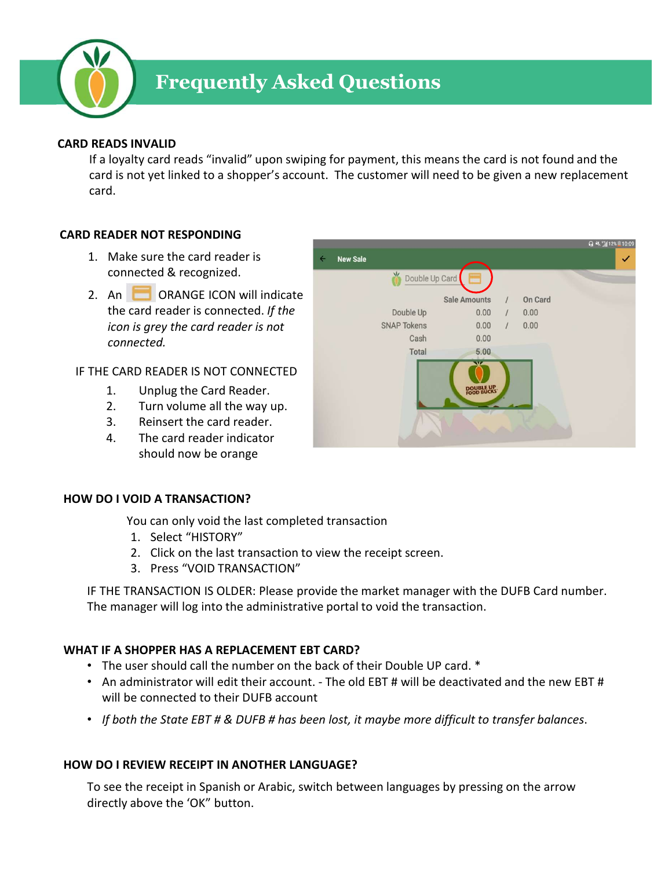

# Frequently Asked Questions

# CARD READS INVALID

If a loyalty card reads "invalid" upon swiping for payment, this means the card is not found and the card is not yet linked to a shopper's account. The customer will need to be given a new replacement card.

# CARD READER NOT RESPONDING

- connected & recognized.
- the card reader is connected. If the icon is grey the card reader is not connected.

# IF THE CARD READER IS NOT CONNECTED

- 
- 
- 
- should now be orange



# HOW DO I VOID A TRANSACTION?

You can only void the last completed transaction

- 
- 
- 

IF THE TRANSACTION IS OLDER: Please provide the market manager with the DUFB Card number. The manager will log into the administrative portal to void the transaction.

# WHAT IF A SHOPPER HAS A REPLACEMENT EBT CARD?

- The user should call the number on the back of their Double UP card. \*
- will be connected to their DUFB account
- If both the State EBT # & DUFB # has been lost, it maybe more difficult to transfer balances.

# HOW DO I REVIEW RECEIPT IN ANOTHER LANGUAGE?

To see the receipt in Spanish or Arabic, switch between languages by pressing on the arrow directly above the 'OK" button.